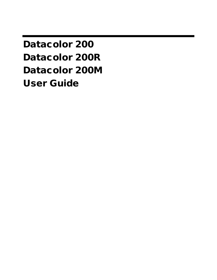Datacolor 200 Datacolor 200R Datacolor 200M User Guide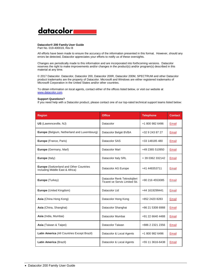## datacolor

#### **Datacolor® 200 Family User Guide**

Part No. 019-400019, Rev B

All efforts have been made to ensure the accuracy of the information presented in this format. However, should any errors be detected, Datacolor appreciates your efforts to notify us of these oversights.

Changes are periodically made to this information and are incorporated into forthcoming versions. Datacolor reserves the right to make improvements and/or changes in the product(s) and/or program(s) described in this material at any time.

© 2017 Datacolor. Datacolor, Datacolor 200, Datacolor 200R, Datacolor 200M, SPECTRUM and other Datacolor product trademarks are the property of Datacolor. Microsoft and Windows are either registered trademarks of Microsoft Corporation in the United States and/or other countries.

To obtain information on local agents, contact either of the offices listed below, or visit our website at [www.datacolor.com.](http://www.datacolor.com/)

#### **Support Questions?**

If you need help with a Datacolor product, please contact one of our top-rated technical support teams listed below:

| <b>Region</b>                                                                      | <b>Office</b>                                                  | <b>Telephone</b> | <b>Contact</b> |
|------------------------------------------------------------------------------------|----------------------------------------------------------------|------------------|----------------|
| <b>US</b> (Lawrenceville, NJ)                                                      | Datacolor                                                      | +1 800 982 6496  | Email          |
| <b>Europe</b> (Belgium, Netherland and Luxembourg)                                 | Datacolor België BVBA                                          | +32 9 243 87 27  | Email          |
| Europe (France, Paris)                                                             | Datacolor SAS                                                  | +33 148185 480   | Email          |
| Europe (Germany, Marl)                                                             | Datacolor Marl                                                 | +49 2365 510950  | Email          |
| <b>Europe</b> (Italy)                                                              | Datacolor Italy SRL                                            | +39 0362 332142  | Email          |
| <b>Europe (Switzerland and Other Countries)</b><br>Including Middle East & Africa) | Datacolor AG Europe                                            | +41 448353711    | Email          |
| Europe (Turkey)                                                                    | Datacolor Renk Teknolojileri<br>Ticaret ve Servis Limited Sti. | +90 216 4553085  | Email          |
| <b>Europe</b> (United Kingdom)                                                     | Datacolor Ltd                                                  | +44 1619299441   | Email          |
| Asia (China Hong Kong)                                                             | Datacolor Hong Kong                                            | +852 2420 8283   | Email          |
| Asia (China, Shanghai)                                                             | Datacolor Shanghai                                             | +86 21 5308 6988 | Email          |
| Asia (India, Mumbai)                                                               | Datacolor Mumbai                                               | +91 22 6640 4488 | Email          |
| Asia (Taiwan & Taipei)                                                             | Datacolor Taiwan                                               | +886 2 2321 2356 | Email          |
| Latin America (All Countries Except Brazil)                                        | Datacolor & Local Agents                                       | +1 800 982 6496  | Email          |
| Latin America (Brazil)                                                             | Datacolor & Local Agents                                       | +55 11 3616-6438 | Email          |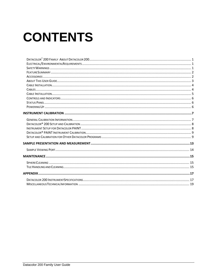# **CONTENTS**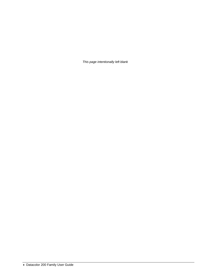*This page intentionally left blank*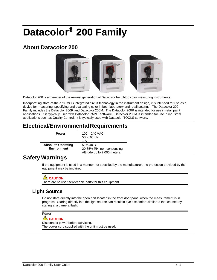## <span id="page-4-0"></span>**Datacolor® 200 Family**

## **About Datacolor 200**



Datacolor 200 is a member of the newest generation of Datacolor benchtop color measuring instruments.

Incorporating state-of-the-art CMOS integrated circuit technology in the instrument design, it is intended for use as a device for measuring, specifying and evaluating color in both laboratory and retail settings. The Datacolor 200 Family includes the Datacolor 200R and Datacolor 200M. The Datacolor 200R is intended for use in retail paint applications. It is typically used with Datacolor PAINT software. Datacolor 200M is intended for use in industrial applications such as Quality Control. It is typically used with Datacolor TOOLS software.

## <span id="page-4-1"></span>**Electrical/EnvironmentalRequirements**

| <b>Power</b>                                    | $100 - 240$ VAC<br>50 to 60 Hz<br>1 A                                                     |
|-------------------------------------------------|-------------------------------------------------------------------------------------------|
| <b>Absolute Operating</b><br><b>Environment</b> | $5^{\circ}$ to $40^{\circ}$ C<br>20-85% RH, non-condensing<br>Altitude up to 2,000 meters |

## <span id="page-4-2"></span>**Safety Warnings**

If the equipment is used in a manner not specified by the manufacturer, the protection provided by the equipment may be impaired.

#### **A** CAUTION There are no user-serviceable parts for this equipment

### **Light Source**

Do not stare directly into the open port located in the front door panel when the measurement is in progress. Staring directly into the light source can result in eye discomfort similar to that caused by staring at a camera flash.

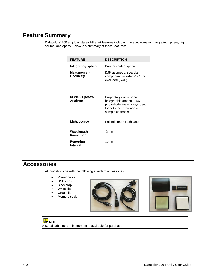## <span id="page-5-0"></span>**Feature Summary**

Datacolor® 200 employs state-of-the-art features including the spectrometer, integrating sphere, light source, and optics. Below is a summary of those features:

| <b>FEATURE</b>                     | <b>DESCRIPTION</b>                                                                                                                       |
|------------------------------------|------------------------------------------------------------------------------------------------------------------------------------------|
| Integrating sphere                 | Barium coated sphere                                                                                                                     |
| <b>Measurement</b><br>Geometry     | D/8 <sup>o</sup> geometry, specular<br>component included (SCI) or<br>excluded (SCE).                                                    |
| <b>SP2000 Spectral</b><br>Analyzer | Proprietary dual-channel<br>holographic grating. 256-<br>photodiode linear arrays used<br>for both the reference and<br>sample channels. |
| <b>Light source</b>                | Pulsed xenon flash lamp                                                                                                                  |
| Wavelength<br><b>Resolution</b>    | $2 \text{ nm}$                                                                                                                           |
| Reporting<br><b>Interval</b>       | 10 <sub>nm</sub>                                                                                                                         |

#### <span id="page-5-1"></span>**Accessories**

All models come with the following standard accessories:

- Power cable
- USB cable
- Black trap
- White tile
- Green tile
- **Memory stick**





## **NOTE**

A serial cable for the instrument is available for purchase.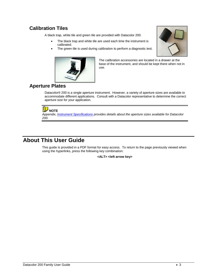#### **Calibration Tiles**

A black trap, white tile and green tile are provided with Datacolor 200.

- The black trap and white tile are used each time the instrument is calibrated.
- The green tile is used during calibration to perform a diagnostic test.





The calibration accessories are located in a drawer at the base of the instrument, and should be kept there when not in use.

#### **Aperture Plates**

Datacolor® 200 is a single aperture instrument. However, a variety of aperture sizes are available to accommodate different applications. Consult with a Datacolor representative to determine the correct aperture size for your application.



*Appendix, Instrument [Specifications](#page-20-1) provides details about the aperture sizes available for Datacolor 200.*

### <span id="page-6-0"></span>**About This User Guide**

This guide is provided in a PDF format for easy access. To return to the page previously viewed when using the hyperlinks, press the following key combination:

**<ALT> <left arrow key>**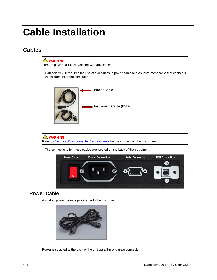## <span id="page-7-0"></span>**Cable Installation**

### <span id="page-7-1"></span>**Cables**

#### **WARNING**

Turn off power **BEFORE** working with any cables.

Datacolor® 200 requires the use of two cables, a power cable and an instrument cable that connects the instrument to the computer.



**WARNING** Refer to **Electrical/Environmental Requirements** before connecting the instrument.

The connections for these cables are located on the back of the instrument.



#### **Power Cable**

A six-foot power cable is provided with the instrument.



Power is supplied to the back of the unit via a 3-prong male connector.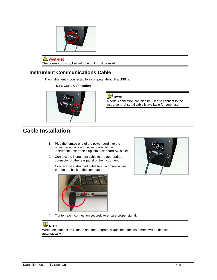

#### **WARNING**

The power cord supplied with the unit *must* be used.

#### **Instrument Communications Cable**

The instrument is connected to a computer through a USB port.

#### **USB Cable Connection**



**NOTE** 

A serial connection can also be used to connect to the instrument. A serial cable is available for purchase.

## <span id="page-8-0"></span>**Cable Installation**

- 1. Plug the female end of the power cord into the power receptacle on the rear panel of the instrument. Insert the plug into a standard AC outlet.
- 2. Connect the instrument cable to the appropriate connector on the rear panel of the instrument.
- 3. Connect the instrument cable to a communications port on the back of the computer.





4. Tighten each connection securely to ensure proper signal.

## **NOTE**

When the connection is made and the program is launched, the instrument will be detected automatically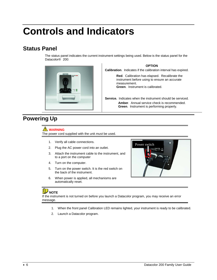## <span id="page-9-0"></span>**Controls and Indicators**

## <span id="page-9-1"></span>**Status Panel**

The status panel indicates the current instrument settings being used. Below is the status panel for the Datacolor<sup>®</sup> 200:



#### **OPTION**

**Calibration**. Indicates if the calibration interval has expired.

**Red**. Calibration has elapsed. Recalibrate the instrument before using to ensure an accurate measurement. **Green**. Instrument is calibrated.

**Service.** Indicates when the instrument should be serviced.  **Amber**. Annual service check is recommended.  **Green**. Instrument is performing properly.

## <span id="page-9-2"></span>**Powering Up**

#### **WARNING**

The power cord supplied with the unit *must* be used.

- 1. Verify all cable connections.
- 2. Plug the AC power cord into an outlet.
- 3. Attach the instrument cable to the instrument, and to a port on the computer
- 4. Turn on the computer.
- 5. Turn on the power switch. It is the red switch on the back of the instrument.
- 6. When power is applied, all mechanisms are automatically reset.



#### **NOTE**

If the instrument is not turned on before you launch a Datacolor program, you may receive an error message.

- 1. When the front panel Calibration LED remains lighted, your instrument is ready to be calibrated.
- 2. Launch a Datacolor program.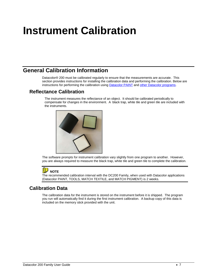## <span id="page-10-0"></span>**Instrument Calibration**

### <span id="page-10-1"></span>**General Calibration Information**

Datacolor® 200 must be calibrated regularly to ensure that the measurements are accurate. This section provides instructions for installing the calibration data and performing the calibration. Below are instructions for performing the calibration using [Datacolor PAINT](#page-12-0) and [other Datacolor programs.](#page-12-1)

#### **Reflectance Calibration**

The instrument measures the reflectance of an object. It should be calibrated periodically to compensate for changes in the environment. A black trap, white tile and green tile are included with the instruments.



The software prompts for instrument calibration vary slightly from one program to another. However, you are always required to measure the black trap, white tile and green tile to complete the calibration.

#### **NOTE**

The recommended calibration interval with the DC200 Family, when used with Datacolor applications (Datacolor PAINT, TOOLS, MATCH TEXTILE, and MATCH PIGMENT) is 2 weeks.

#### **Calibration Data**

The calibration data for the instrument is stored on the instrument before it is shipped. The program you run will automatically find it during the first instrument calibration. A backup copy of this data is included on the memory stick provided with the unit.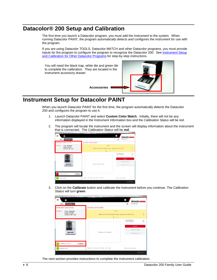### <span id="page-11-0"></span>**Datacolor® 200 Setup and Calibration**

The first time you launch a Datacolor program, you must add the instrument to the system. When running Datacolor PAINT, the program *automatically detects and configures* the instrument for use with the program.

If you are using Datacolor TOOLS, Datacolor MATCH and other Datacolor programs, you must provide inputs for the program to configure the program to recognize the Datacolor 200. See Instrument Setup and Calibration for [Other Datacolor Programs](#page-12-1) for step-by-step instructions.

You will need the black trap, white tile and green tile to complete the calibration. They are located in the instrument accessory drawer.



### <span id="page-11-1"></span>**Instrument Setup for Datacolor PAINT**

When you launch Datacolor PAINT for the first time, the program automatically detects the Datacolor 200 and configures the program to use it.

**Accessories**

- 1. Launch Datacolor PAINT and select **Custom Color Match**. Initially, there will not be any information displayed in the Instrument Information box and the *Calibration Status* will be red.
- 2. The program will locate the instrument and the screen will display information about the instrument that is connected. The *Calibration Status* will be **red**.



3. Click on the **Calibrate** button and calibrate the instrument before you continue. The *Calibration Status* will turn **green**.



The next section provides instructions to complete the instrument calibration.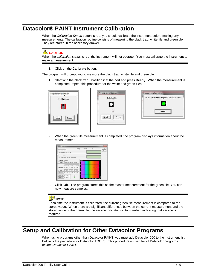## <span id="page-12-0"></span>**Datacolor® PAINT Instrument Calibration**

When the *Calibration Status* button is red, you should calibrate the instrument before making any measurements. The calibration routine consists of measuring the black trap, white tile and green tile. They are stored in the accessory drawer.

#### **ALCAUTION**

When the *calibration status* is red, the instrument will not operate. You must calibrate the instrument to make a measurement.

1. Click on the **Calibrate** button.

The program will prompt you to measure the black trap, white tile and green tile.

1. Start with the black trap. Position it at the port and press **Ready**. When the measurement is completed, repeat this procedure for the white and green tiles.

| Prepare for calibation | Prepare for calibration |
|------------------------|-------------------------|
| Set black trap         | Set white tile          |
|                        | ●                       |
| Cancel<br>Ready        | $Ready$<br>Cancel       |
|                        |                         |

 $\mathbf{I}$ 

| Set up Instrument for Diagnostic Tile Measurement |
|---------------------------------------------------|
|                                                   |
|                                                   |
| Ready                                             |

2. When the green tile measurement is completed, the program displays information about the measurement.

| Instrument:                                                          | <b>DC200</b>                     | 9912020 | Datacolor                  | OK.  |
|----------------------------------------------------------------------|----------------------------------|---------|----------------------------|------|
| Reference diagnostic tile:                                           |                                  |         |                            | Pink |
| TEST 2008012020 SCI LAV UVINC                                        |                                  |         |                            |      |
| Sample diagnostic tile<br>TEST 2008012020 SCI LAV UVINC 160118 11:18 |                                  |         |                            |      |
| 045/10<br><b>Ikennort</b><br>Fornula                                 | CMC L = 20 C = 1.0 TF= 0.60      | 2R[%]   |                            |      |
|                                                                      | Bightness L: Chomacity C. Hue R: |         |                            |      |
| 05.99<br>Fielerence                                                  | 19.41<br>130.65<br>۵             |         | ٠<br><b>Service County</b> |      |
| 86.00<br>Sangle                                                      | 130.66<br>19.41                  |         |                            |      |
| $-0.01$<br>Difference                                                | 4.01<br>$-0.01$                  |         |                            |      |
| CMC deE<br>0.01                                                      |                                  |         |                            |      |

3. Click **Ok**. The program stores this as the master measurement for the green tile. You can now measure samples.

#### **NOTE**

Each time the instrument is calibrated, the current green tile measurement is compared to the stored value. When there are significant differences between the current measurement and the stored value of the green tile, the service indicator will turn amber, indicating that service is required.

### <span id="page-12-1"></span>**Setup and Calibration for Other Datacolor Programs**

When using programs other than Datacolor PAINT, you must add Datacolor 200 to the instrument list. Below is the procedure for Datacolor TOOLS. This procedure is used for all Datacolor programs *except Datacolor PAINT*.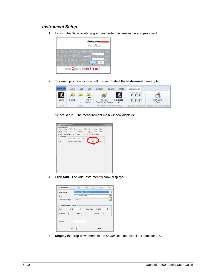#### *Instrument Setup*

1. Launch the Datacolor® program and enter the user name and password.



2. The main program window will display. Select the **Instrument** menu option.



3. Select **Setup**. The measurement main window displays:



4. Click **Add**. The Add Instrument window displays.

| Manufacturer            | Datacolor Current Models                      |
|-------------------------|-----------------------------------------------|
| Model                   | 110: Datacolor 110                            |
| Communication type      | Serial/USB                                    |
| $\sqrt{8}$<br>Data Bite | $\overline{2}$<br>N<br>Parity Bit<br>Stop Bit |
|                         |                                               |

5. **Display** the drop-down menu in the *Model* field, and scroll to Datacolor 200.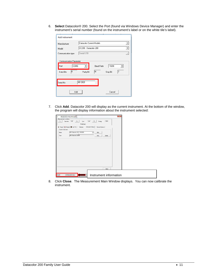6. **Select** Datacolor® 200. Select the Port (found via Windows Device Manager) and enter the instrument's serial number (found on the instrument's label or on the white tile's label).

| <b>Add Instrument</b>                                     |                                          |                             |
|-----------------------------------------------------------|------------------------------------------|-----------------------------|
| Manufacturer                                              | Datacolor Current Models                 | $\blacktriangledown$        |
| Model                                                     | DC200: Datacolor 200                     | 츠                           |
| Communication type                                        | Serial/USB                               | $\overline{\phantom{a}}$    |
| Communication Parameter<br>COM6<br>Port<br>8<br>Data Bits | <b>Baud Rate</b><br>▼<br>Ν<br>Parity Bit | 19200<br>▼<br>2<br>Stop Bit |
| Serial No                                                 | 8812020                                  |                             |
| Add                                                       |                                          | Cancel                      |

7. Click **Add**. Datacolor 200 will display as the current instrument. At the bottom of the window, the program will display information about the instrument selected:



8. Click **Close**. The Measurement Main Window displays. You can now calibrate the instrument.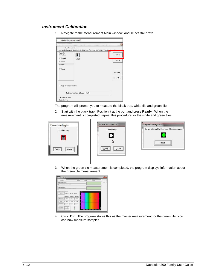#### *Instrument Calibration*

1. Navigate to the Measurement Main window, and select **Calibrate**.

| Health Information                                                 |                                                                                                                 |                          |
|--------------------------------------------------------------------|-----------------------------------------------------------------------------------------------------------------|--------------------------|
| Specular<br>$G$ Include<br>$C$ Exclude<br>$\cap$ Gloss<br>Aperture | Health monitor information is available for this device. Please contact Datacolor for more information<br>V9.32 | Calibrate<br>Cancel      |
| G Large                                                            |                                                                                                                 | Abs white<br>Gloss table |
| Apply Glass Compensation                                           |                                                                                                                 |                          |
|                                                                    | Calibration time interval (hours) 336                                                                           |                          |

The program will prompt you to measure the black trap, white tile and green tile.

2. Start with the black trap. Position it at the port and press **Ready**. When the measurement is completed, repeat this procedure for the white and green tiles.



|                | Set white tile |        |
|----------------|----------------|--------|
|                |                |        |
|                |                |        |
|                |                |        |
| ************** |                | Cancel |

| Set up Instrument for Diagnostic Tile Measurement |
|---------------------------------------------------|
|                                                   |
|                                                   |
| Ready                                             |

3. When the green tile measurement is completed, the program displays information about the green tile measurement.

| Instrument:                                                          | <b>DC200</b>    | 9812020 | Datacolor               | OK.       |
|----------------------------------------------------------------------|-----------------|---------|-------------------------|-----------|
| Reference diagnostic tile:                                           |                 |         |                         | $p_{int}$ |
| TEST 2009012020 SCI LAV UVINC                                        |                 |         |                         |           |
| Sample diagnostic tile<br>TEST 2008812020 SCI LAV UVINC 160118 11:18 |                 |         |                         |           |
| 065/10<br><b>Ikennort</b><br>CMC L = 20 C = 1.0 TF= 0.60<br>Fornita  |                 | RW      |                         |           |
| Bid-Iness L: Dyonacity C Hue In<br>05.99<br>Fleference               | 130.65<br>19.41 |         | په<br><b>Management</b> |           |
| 86.00<br>Sangle                                                      | 130.66<br>19.41 |         |                         |           |
| 0.01<br>Difference                                                   | 001<br>4.01     |         |                         |           |
|                                                                      |                 |         |                         |           |

4. Click **OK**. The program stores this as the master measurement for the green tile. You can now measure samples.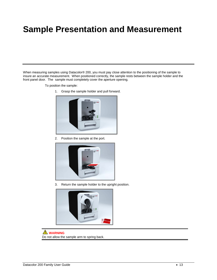## <span id="page-16-0"></span>**Sample Presentation and Measurement**

When measuring samples using Datacolor® 200, you must pay close attention to the positioning of the sample to insure an accurate measurement. When positioned correctly, the sample rests between the sample holder and the front panel door. The sample must completely cover the aperture opening.

To position the sample:

1. Grasp the sample holder and pull forward.



2. Position the sample at the port.



3. Return the sample holder to the upright position.



**WARNING** Do not allow the sample arm to spring back.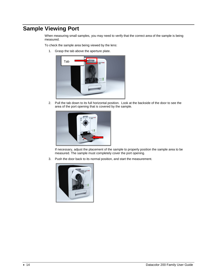## <span id="page-17-0"></span>**Sample Viewing Port**

When measuring small samples, you may need to verify that the correct area of the sample is being measured.

To check the sample area being viewed by the lens:

1. Grasp the tab above the aperture plate.



2. Pull the tab down to its full horizontal position. Look at the backside of the door to see the area of the port opening that is covered by the sample.



If necessary, adjust the placement of the sample to properly position the sample area to be measured. The sample must completely cover the port opening.

3. Push the door back to its normal position, and start the measurement.

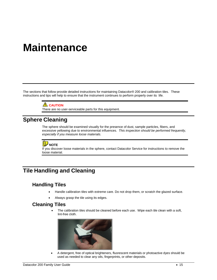## <span id="page-18-0"></span>**Maintenance**

The sections that follow provide detailed instructions for maintaining Datacolor® 200 and calibration tiles. These instructions and tips will help to ensure that the instrument continues to perform properly over its life.

> **A** CAUTION There are no user-serviceable parts for this equipment.

## <span id="page-18-1"></span>**Sphere Cleaning**

The sphere should be examined visually for the presence of dust, sample particles, fibers, and excessive yellowing due to environmental influences. *This inspection should be performed frequently, especially if you measure loose materials.*

#### **NOTE**

If you discover loose materials in the sphere, contact Datacolor Service for instructions to remove the loose material.

## <span id="page-18-2"></span>**Tile Handling and Cleaning**

#### **Handling Tiles**

- Handle calibration tiles with extreme care. Do not drop them, or scratch the glazed surface.
- Always grasp the tile using its edges.

#### **Cleaning Tiles**

• The calibration tiles should be cleaned before each use. Wipe each tile clean with a soft, lint-free cloth.



• A detergent, free of optical brighteners, fluorescent materials or photoactive dyes should be used as needed to clear any oils, fingerprints, or other deposits.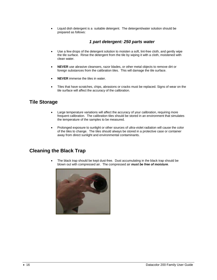• Liquid dish detergent is a suitable detergent. The detergent/water solution should be prepared as follows:

#### *1 part detergent: 250 parts water*

- Use a few drops of the detergent solution to moisten a soft, lint-free cloth, and gently wipe the tile surface. Rinse the detergent from the tile by wiping it with a cloth, moistened with clean water.
- **NEVER** use abrasive cleansers, razor blades, or other metal objects to remove dirt or foreign substances from the calibration tiles. This will damage the tile surface.
- **NEVER** immerse the tiles in water.
- Tiles that have scratches, chips, abrasions or cracks must be replaced. Signs of wear on the tile surface will affect the accuracy of the calibration.

#### **Tile Storage**

- Large temperature variations will affect the accuracy of your calibration, requiring more frequent calibration. The calibration tiles should be stored in an environment that simulates the temperature of the samples to be measured.
- Prolonged exposure to sunlight or other sources of ultra-violet radiation will cause the color of the tiles to change. The tiles should always be stored in a protective case or container away from direct sunlight and environmental contaminants.

#### **Cleaning the Black Trap**

• The black trap should be kept dust-free. Dust accumulating in the black trap should be blown out with compressed air. The compressed air *must be free of moisture*.

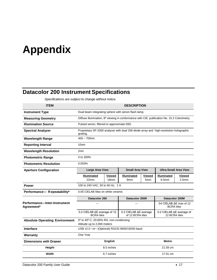## <span id="page-20-0"></span>**Appendix**

## <span id="page-20-1"></span>**Datacolor 200 Instrument Specifications**

*Specifications are subject to change without notice.*

| <b>ITEM</b>                                | <b>DESCRIPTION</b>                                                                                 |                            |                                |                                           |                                  |                                              |  |
|--------------------------------------------|----------------------------------------------------------------------------------------------------|----------------------------|--------------------------------|-------------------------------------------|----------------------------------|----------------------------------------------|--|
| <b>Instrument Type</b>                     | Dual beam integrating sphere with xenon flash lamp.                                                |                            |                                |                                           |                                  |                                              |  |
| <b>Measuring Geometry</b>                  | Diffuse illumination, 8º viewing in conformance with CIE publication No. 15.2 Colorimetry.         |                            |                                |                                           |                                  |                                              |  |
| <b>Illumination Source</b>                 | Pulsed xenon, filtered to approximate D65.                                                         |                            |                                |                                           |                                  |                                              |  |
| <b>Spectral Analyzer</b>                   | Proprietary SP 2000 analyzer with dual 256-diode array and high-resolution holographic<br>grating. |                            |                                |                                           |                                  |                                              |  |
| <b>Wavelength Range</b>                    | $400 - 700$ nm                                                                                     |                            |                                |                                           |                                  |                                              |  |
| <b>Reporting Interval</b>                  | 10 <sub>nm</sub>                                                                                   |                            |                                |                                           |                                  |                                              |  |
| <b>Wavelength Resolution</b>               | 2 <sub>nm</sub>                                                                                    |                            |                                |                                           |                                  |                                              |  |
| <b>Photometric Range</b>                   | 0 to 200%                                                                                          |                            |                                |                                           |                                  |                                              |  |
| <b>Photometric Resolution</b>              | 0.003%                                                                                             |                            |                                |                                           |                                  |                                              |  |
| <b>Aperture Configuration</b>              | Large Area View                                                                                    |                            | <b>Small Area View</b>         |                                           | <b>Ultra-Small Area View</b>     |                                              |  |
|                                            | Illuminated<br>22mm                                                                                | Viewed<br>18 <sub>mm</sub> | Illuminated<br>9 <sub>mm</sub> | <b>Viewed</b><br>5 <sub>mm</sub>          | Illuminated<br>6.5 <sub>mm</sub> | Viewed<br>2.5 <sub>mm</sub>                  |  |
| <b>Power</b>                               | 100 to 240 VAC, 50 to 60 Hz, 1 A                                                                   |                            |                                |                                           |                                  |                                              |  |
| Performance- Repeatability*                | 0.05 CIELAB Max on white ceramic                                                                   |                            |                                |                                           |                                  |                                              |  |
|                                            | Datacolor 200                                                                                      |                            | Datacolor 200R                 |                                           | Datacolor 200M                   |                                              |  |
| Performance-Inter-Instrument<br>Agreement* |                                                                                                    |                            |                                |                                           |                                  | .54 CIELAB AE max of 12<br><b>BCRA</b> tiles |  |
|                                            | 0.2 CIELAB AE average of 12<br>0.2 CIELAB AE average<br>of 12 BCRA tiles<br><b>BCRA</b> tiles      |                            |                                | 0.2 CIELAB AE average of<br>12 BCRA tiles |                                  |                                              |  |
| <b>Absolute Operating Environment</b>      | 5º to 40° C, 20-85% RH, non-condensing                                                             |                            |                                |                                           |                                  |                                              |  |
|                                            | Altitude up to 2,000 meters                                                                        |                            |                                |                                           |                                  |                                              |  |
| <b>Interface</b>                           | USB v2.0 ~or~ (Optional) RS232 9600/19200 baud                                                     |                            |                                |                                           |                                  |                                              |  |
| Warranty                                   | One Year                                                                                           |                            |                                |                                           |                                  |                                              |  |
| <b>Dimensions with Drawer</b>              | English<br><b>Metric</b>                                                                           |                            |                                |                                           |                                  |                                              |  |
| Height                                     | 21.59 cm<br>8.5 inches                                                                             |                            |                                |                                           |                                  |                                              |  |
| Width                                      | 17.01 cm<br>6.7 inches                                                                             |                            |                                |                                           |                                  |                                              |  |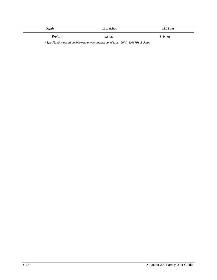| Depth  | 1 inches | 28.23 cm |
|--------|----------|----------|
| Weight | 12 lbs.  | 5.44 kg  |

*\* Specification based on following environmental conditions: 20°C; 50% RH; 2 sigma*